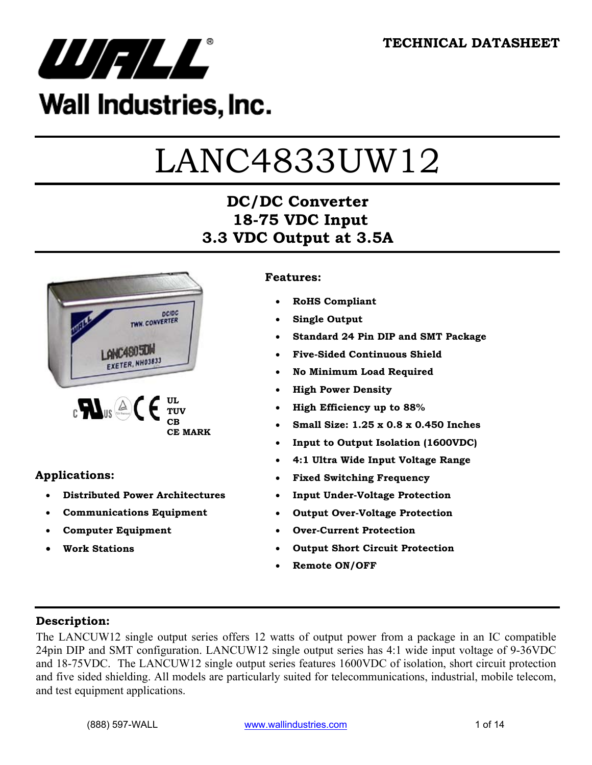

## Wall Industries, Inc.

# LANC4833UW12

## **DC/DC Converter 18-75 VDC Input 3.3 VDC Output at 3.5A**



#### **Applications:**

- **Distributed Power Architectures**
- **Communications Equipment**
- **Computer Equipment**
- **Work Stations**

#### **Features:**

- **RoHS Compliant**
- **Single Output**
- **Standard 24 Pin DIP and SMT Package**
- **Five-Sided Continuous Shield**
- **No Minimum Load Required**
- **High Power Density**
- **High Efficiency up to 88%**
- **Small Size: 1.25 x 0.8 x 0.450 Inches**
- **Input to Output Isolation (1600VDC)**
- **4:1 Ultra Wide Input Voltage Range**
- **Fixed Switching Frequency**
- **Input Under-Voltage Protection**
- **Output Over-Voltage Protection**
- **Over-Current Protection**
- **Output Short Circuit Protection**
- **Remote ON/OFF**

#### **Description:**

The LANCUW12 single output series offers 12 watts of output power from a package in an IC compatible 24pin DIP and SMT configuration. LANCUW12 single output series has 4:1 wide input voltage of 9-36VDC and 18-75VDC. The LANCUW12 single output series features 1600VDC of isolation, short circuit protection and five sided shielding. All models are particularly suited for telecommunications, industrial, mobile telecom, and test equipment applications.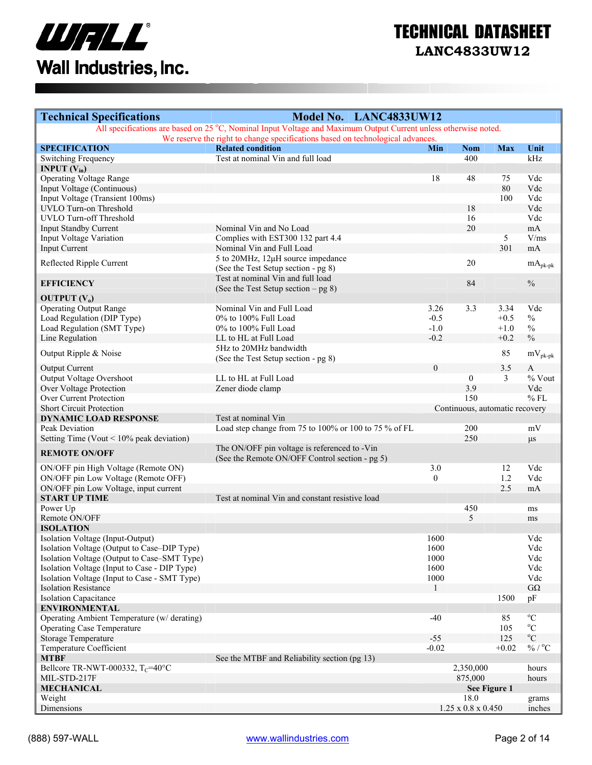

| <b>Technical Specifications</b>                           | Model No. LANC4833UW12                                                                                          |          |                                |                 |                             |
|-----------------------------------------------------------|-----------------------------------------------------------------------------------------------------------------|----------|--------------------------------|-----------------|-----------------------------|
|                                                           | All specifications are based on 25 °C, Nominal Input Voltage and Maximum Output Current unless otherwise noted. |          |                                |                 |                             |
|                                                           | We reserve the right to change specifications based on technological advances.                                  |          |                                |                 |                             |
| <b>SPECIFICATION</b>                                      | <b>Related condition</b>                                                                                        | Min      | <b>Nom</b>                     | <b>Max</b>      | Unit                        |
| Switching Frequency                                       | Test at nominal Vin and full load                                                                               |          | 400                            |                 | kHz                         |
| <b>INPUT</b> $(V_{in})$<br><b>Operating Voltage Range</b> |                                                                                                                 | 18       | 48                             | 75              | Vdc                         |
| Input Voltage (Continuous)                                |                                                                                                                 |          |                                | 80              | Vdc                         |
| Input Voltage (Transient 100ms)                           |                                                                                                                 |          |                                | 100             | Vdc                         |
| UVLO Turn-on Threshold                                    |                                                                                                                 |          | 18                             |                 | Vdc                         |
| UVLO Turn-off Threshold                                   |                                                                                                                 |          | 16                             |                 | Vdc                         |
| <b>Input Standby Current</b>                              | Nominal Vin and No Load                                                                                         |          | 20                             |                 | mA                          |
| Input Voltage Variation                                   | Complies with EST300 132 part 4.4                                                                               |          |                                | $5\overline{)}$ | V/ms                        |
| <b>Input Current</b>                                      | Nominal Vin and Full Load                                                                                       |          |                                | 301             | mA                          |
|                                                           |                                                                                                                 |          |                                |                 |                             |
| Reflected Ripple Current                                  | 5 to 20MHz, 12µH source impedance                                                                               |          | 20                             |                 | $mA_{pk\text{-}pk}$         |
|                                                           | (See the Test Setup section - pg 8)                                                                             |          |                                |                 |                             |
| <b>EFFICIENCY</b>                                         | Test at nominal Vin and full load                                                                               |          | 84                             |                 | $\%$                        |
|                                                           | (See the Test Setup section $-$ pg 8)                                                                           |          |                                |                 |                             |
| <b>OUTPUT</b> $(V_0)$                                     | Nominal Vin and Full Load                                                                                       | 3.26     | 3.3                            | 3.34            | Vdc                         |
| <b>Operating Output Range</b>                             | 0% to 100% Full Load                                                                                            | $-0.5$   |                                |                 | $\frac{0}{0}$               |
| Load Regulation (DIP Type)                                |                                                                                                                 |          |                                | $+0.5$          |                             |
| Load Regulation (SMT Type)                                | 0% to 100% Full Load                                                                                            | $-1.0$   |                                | $+1.0$          | $\%$                        |
| Line Regulation                                           | LL to HL at Full Load                                                                                           | $-0.2$   |                                | $+0.2$          | $\sqrt[0]{\!0}$             |
| Output Ripple & Noise                                     | 5Hz to 20MHz bandwidth                                                                                          |          |                                | 85              | $mV_{pk-pk}$                |
|                                                           | (See the Test Setup section - pg 8)                                                                             |          |                                |                 |                             |
| <b>Output Current</b>                                     |                                                                                                                 | $\theta$ |                                | 3.5             | $\mathbf{A}$                |
| Output Voltage Overshoot                                  | LL to HL at Full Load                                                                                           |          | $\boldsymbol{0}$               | $\overline{3}$  | $%$ Vout                    |
| Over Voltage Protection                                   | Zener diode clamp                                                                                               |          | 3.9                            |                 | Vdc                         |
| Over Current Protection                                   |                                                                                                                 |          | 150                            |                 | $%$ FL                      |
| <b>Short Circuit Protection</b>                           |                                                                                                                 |          | Continuous, automatic recovery |                 |                             |
| <b>DYNAMIC LOAD RESPONSE</b>                              | Test at nominal Vin                                                                                             |          |                                |                 |                             |
| Peak Deviation                                            | Load step change from 75 to 100% or 100 to 75 % of FL                                                           |          | 200                            |                 | mV                          |
| Setting Time (Vout $\leq 10\%$ peak deviation)            |                                                                                                                 |          | 250                            |                 | $\mu s$                     |
| <b>REMOTE ON/OFF</b>                                      | The ON/OFF pin voltage is referenced to -Vin<br>(See the Remote ON/OFF Control section - pg 5)                  |          |                                |                 |                             |
| ON/OFF pin High Voltage (Remote ON)                       |                                                                                                                 | 3.0      |                                | 12              | Vdc                         |
| ON/OFF pin Low Voltage (Remote OFF)                       |                                                                                                                 | $\theta$ |                                | 1.2             | Vdc                         |
| ON/OFF pin Low Voltage, input current                     |                                                                                                                 |          |                                | 2.5             | mA                          |
| <b>START UP TIME</b>                                      | Test at nominal Vin and constant resistive load                                                                 |          |                                |                 |                             |
| Power Up                                                  |                                                                                                                 |          | 450                            |                 | ms                          |
| Remote ON/OFF                                             |                                                                                                                 |          | 5                              |                 | ms                          |
| <b>ISOLATION</b>                                          |                                                                                                                 |          |                                |                 |                             |
| Isolation Voltage (Input-Output)                          |                                                                                                                 | 1600     |                                |                 | Vdc                         |
| Isolation Voltage (Output to Case-DIP Type)               |                                                                                                                 | 1600     |                                |                 | Vdc                         |
| Isolation Voltage (Output to Case-SMT Type)               |                                                                                                                 | 1000     |                                |                 | Vdc                         |
| Isolation Voltage (Input to Case - DIP Type)              |                                                                                                                 | 1600     |                                |                 | Vdc                         |
| Isolation Voltage (Input to Case - SMT Type)              |                                                                                                                 | 1000     |                                |                 | Vdc                         |
| <b>Isolation Resistance</b>                               |                                                                                                                 | -1       |                                |                 | $G\Omega$                   |
| <b>Isolation Capacitance</b>                              |                                                                                                                 |          |                                | 1500            | pF                          |
| <b>ENVIRONMENTAL</b>                                      |                                                                                                                 |          |                                |                 |                             |
| Operating Ambient Temperature (w/ derating)               |                                                                                                                 | $-40$    |                                | 85              | $^{\rm o}{\rm C}$           |
| <b>Operating Case Temperature</b>                         |                                                                                                                 |          |                                | 105             | $\rm ^{o}C$                 |
| <b>Storage Temperature</b>                                |                                                                                                                 | $-55$    |                                | 125             | $\mathrm{^0C}$              |
| Temperature Coefficient                                   |                                                                                                                 | $-0.02$  |                                | $+0.02$         | $\%$ / $^{\rm o}\textrm{C}$ |
| <b>MTBF</b>                                               | See the MTBF and Reliability section (pg 13)                                                                    |          |                                |                 |                             |
| Bellcore TR-NWT-000332, $T_C = 40^{\circ}C$               |                                                                                                                 |          | 2,350,000                      |                 | hours                       |
| MIL-STD-217F                                              |                                                                                                                 |          | 875,000                        |                 | hours                       |
| <b>MECHANICAL</b>                                         |                                                                                                                 |          | See Figure 1                   |                 |                             |
| Weight                                                    |                                                                                                                 |          | 18.0                           |                 | grams                       |
| Dimensions                                                |                                                                                                                 |          | $1.25 \ge 0.8 \times 0.450$    |                 | inches                      |
|                                                           |                                                                                                                 |          |                                |                 |                             |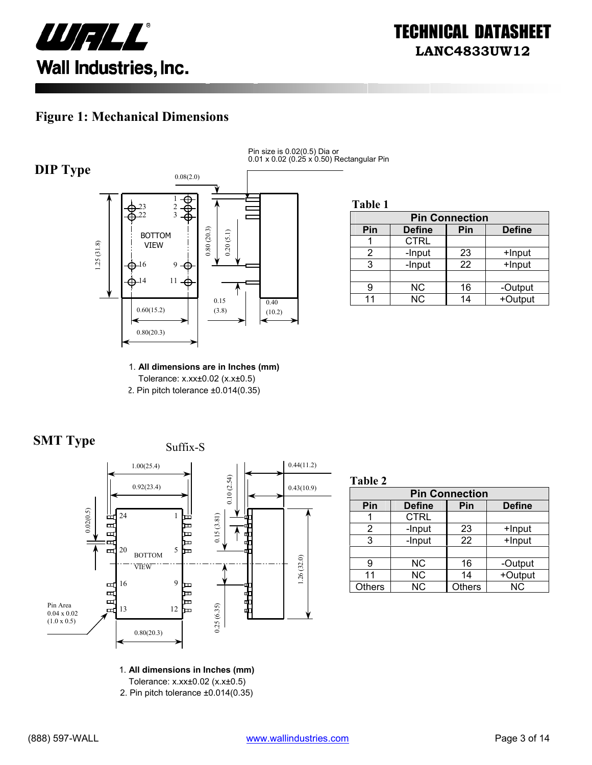

#### **Figure 1: Mechanical Dimensions**



Pin size is 0.02(0.5) Dia or 0.01 x 0.02 (0.25 x 0.50) Rectangular Pin

**Table 1**

| <b>Pin Connection</b> |               |     |               |  |
|-----------------------|---------------|-----|---------------|--|
| Pin                   | <b>Define</b> | Pin | <b>Define</b> |  |
|                       | <b>CTRL</b>   |     |               |  |
| 2                     | -Input        | 23  | +Input        |  |
| 3                     | -Input        | 22  | +Input        |  |
|                       |               |     |               |  |
|                       | NС            | 16  | -Output       |  |
| 11                    | <b>NC</b>     | 14  | +Output       |  |

1. **All dimensions are in Inches (mm)**  Tolerance: x.xx±0.02 (x.x±0.5) 2. Pin pitch tolerance ±0.014(0.35)





**Table 2**

| <b>Pin Connection</b> |               |               |               |  |
|-----------------------|---------------|---------------|---------------|--|
| Pin                   | <b>Define</b> | Pin           | <b>Define</b> |  |
|                       | <b>CTRL</b>   |               |               |  |
| 2                     | -Input        | 23            | +Input        |  |
| 3                     | -Input        | 22            | +Input        |  |
|                       |               |               |               |  |
| g                     | <b>NC</b>     | 16            | -Output       |  |
| 11                    | <b>NC</b>     | 14            | +Output       |  |
| <b>Others</b>         | <b>NC</b>     | <b>Others</b> | <b>NC</b>     |  |

1. **All dimensions in Inches (mm)** 

Tolerance: x.xx±0.02 (x.x±0.5)

2. Pin pitch tolerance ±0.014(0.35)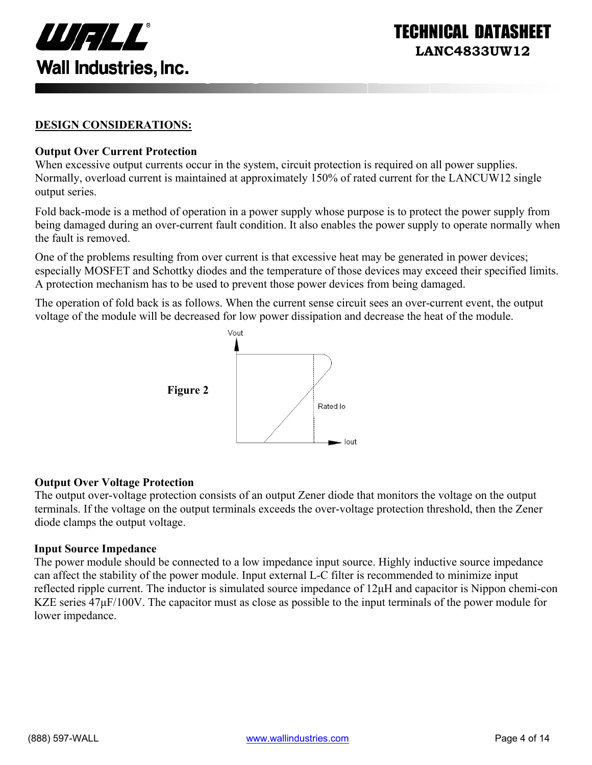

INICAL DATASI **LANC4833UW12** 

#### **DESIGN CONSIDERATIONS:**

#### **Output Over Current Protection**

When excessive output currents occur in the system, circuit protection is required on all power supplies. Normally, overload current is maintained at approximately 150% of rated current for the LANCUW12 single output series.

Fold back-mode is a method of operation in a power supply whose purpose is to protect the power supply from being damaged during an over-current fault condition. It also enables the power supply to operate normally when the fault is removed.

One of the problems resulting from over current is that excessive heat may be generated in power devices; especially MOSFET and Schottky diodes and the temperature of those devices may exceed their specified limits. A protection mechanism has to be used to prevent those power devices from being damaged.

The operation of fold back is as follows. When the current sense circuit sees an over-current event, the output voltage of the module will be decreased for low power dissipation and decrease the heat of the module.



#### **Output Over Voltage Protection**

The output over-voltage protection consists of an output Zener diode that monitors the voltage on the output terminals. If the voltage on the output terminals exceeds the over-voltage protection threshold, then the Zener diode clamps the output voltage.

#### **Input Source Impedance**

The power module should be connected to a low impedance input source. Highly inductive source impedance can affect the stability of the power module. Input external L-C filter is recommended to minimize input reflected ripple current. The inductor is simulated source impedance of 12µH and capacitor is Nippon chemi-con KZE series  $47\mu$ F/100V. The capacitor must as close as possible to the input terminals of the power module for lower impedance.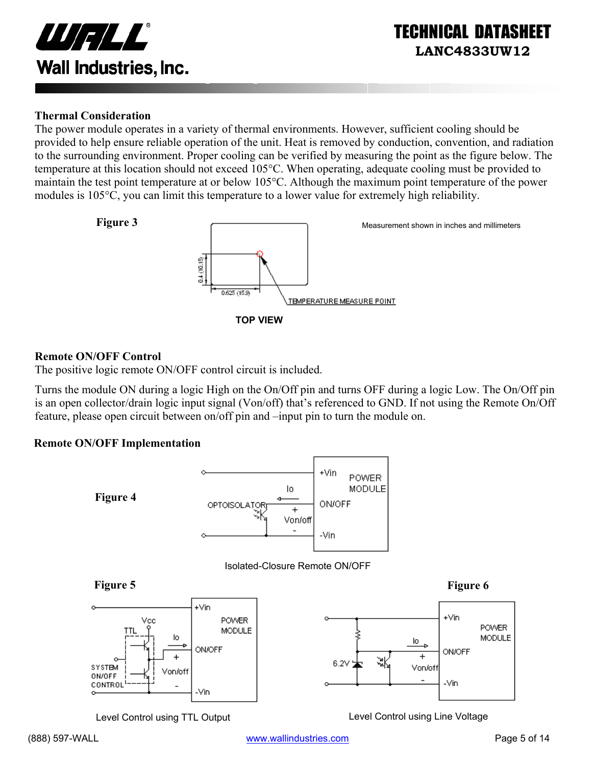

#### **Thermal Consideration**

The power module operates in a variety of thermal environments. However, sufficient cooling should be provided to help ensure reliable operation of the unit. Heat is removed by conduction, convention, and radiation to the surrounding environment. Proper cooling can be verified by measuring the point as the figure below. The temperature at this location should not exceed 105°C. When operating, adequate cooling must be provided to maintain the test point temperature at or below 105°C. Although the maximum point temperature of the power modules is 105°C, you can limit this temperature to a lower value for extremely high reliability.



#### **Remote ON/OFF Control**

The positive logic remote ON/OFF control circuit is included.

Turns the module ON during a logic High on the On/Off pin and turns OFF during a logic Low. The On/Off pin is an open collector/drain logic input signal (Von/off) that's referenced to GND. If not using the Remote On/Off feature, please open circuit between on/off pin and –input pin to turn the module on.

#### **Remote ON/OFF Implementation**



Level Control using TTL Output Level Control using Line Voltage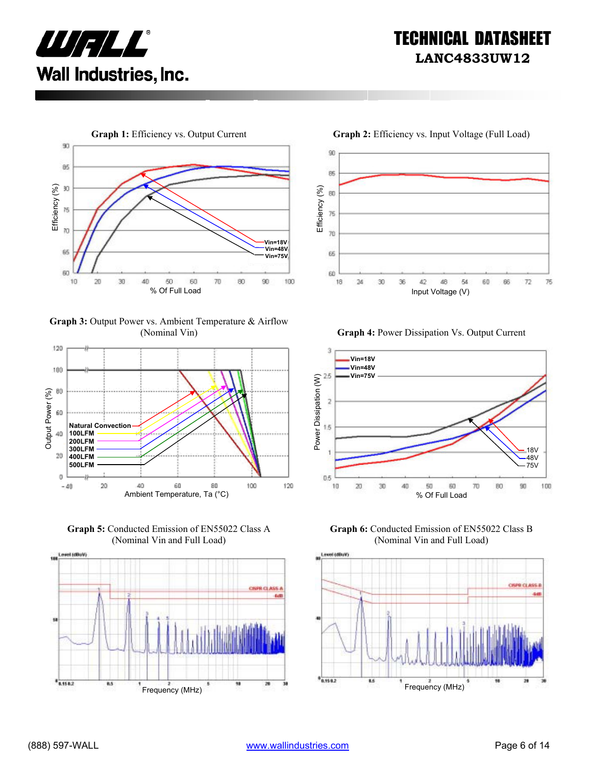



**Graph 3:** Output Power vs. Ambient Temperature & Airflow



**Graph 5:** Conducted Emission of EN55022 Class A (Nominal Vin and Full Load)



90 85 Efficiency (%) Efficiency (%) 80 75  $70$ ß5 60 18  $2d$ 30 36 42 48 54 60 86  $72$ 76





**Graph 6:** Conducted Emission of EN55022 Class B (Nominal Vin and Full Load)

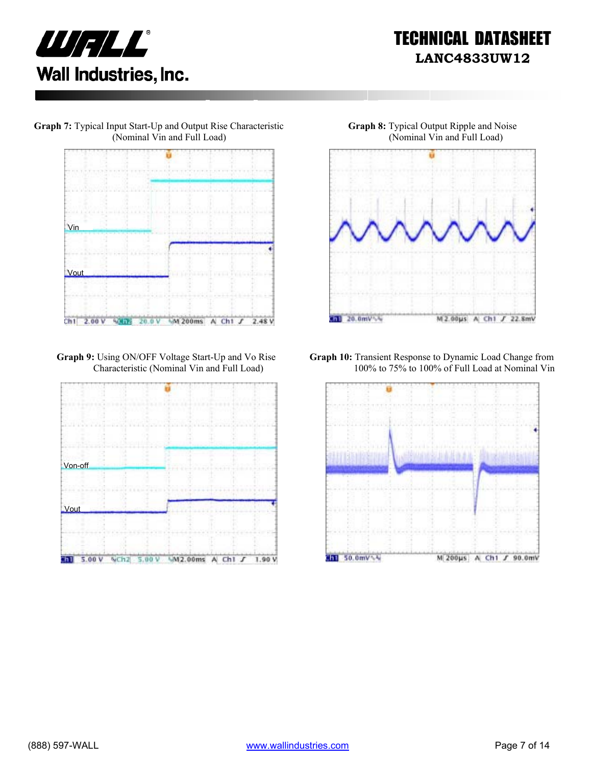

**Graph 7:** Typical Input Start-Up and Output Rise Characteristic (Nominal Vin and Full Load)



**Graph 9:** Using ON/OFF Voltage Start-Up and Vo Rise Characteristic (Nominal Vin and Full Load)





**Graph 10:** Transient Response to Dynamic Load Change from 100% to 75% to 100% of Full Load at Nominal Vin

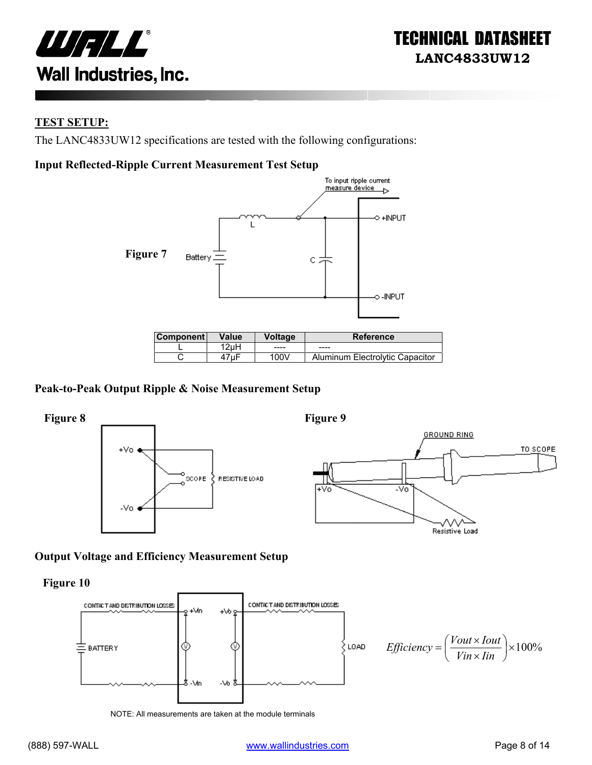

#### **TEST SETUP:**

The LANC4833UW12 specifications are tested with the following configurations:

#### **Input Reflected-Ripple Current Measurement Test Setup**



| ⊺Component l | Value | Voltage | <b>Reference</b>                |
|--------------|-------|---------|---------------------------------|
|              | 2uH   | ----    | $- - - -$                       |
|              | ⊦7uF  | 100V    | Aluminum Electrolytic Capacitor |

#### **Peak-to-Peak Output Ripple & Noise Measurement Setup**



#### **Output Voltage and Efficiency Measurement Setup**

**Figure 10** 



NOTE: All measurements are taken at the module terminals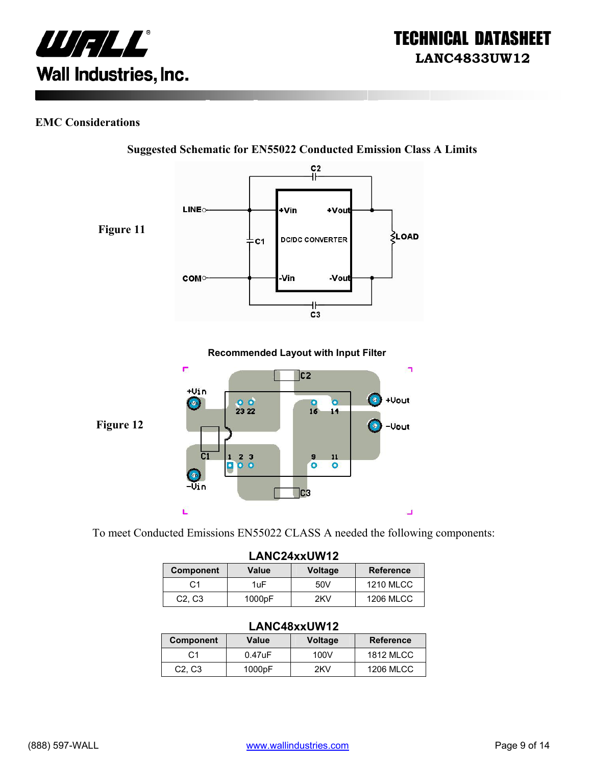

#### **EMC Considerations**



**Suggested Schematic for EN55022 Conducted Emission Class A Limits** 

To meet Conducted Emissions EN55022 CLASS A needed the following components:

| LANC24xxUW12                    |        |                |                  |
|---------------------------------|--------|----------------|------------------|
| <b>Component</b>                | Value  | <b>Voltage</b> | <b>Reference</b> |
| C <sub>1</sub>                  | 1uF    | 50V            | <b>1210 MLCC</b> |
| C <sub>2</sub> , C <sub>3</sub> | 1000pF | 2KV            | <b>1206 MLCC</b> |

#### **LANC48xxUW12**

| Component                       | Value     | <b>Voltage</b> | <b>Reference</b> |
|---------------------------------|-----------|----------------|------------------|
| C1                              | $0.47$ uF | 100V           | 1812 MLCC        |
| C <sub>2</sub> , C <sub>3</sub> | 1000pF    | 2KV            | <b>1206 MLCC</b> |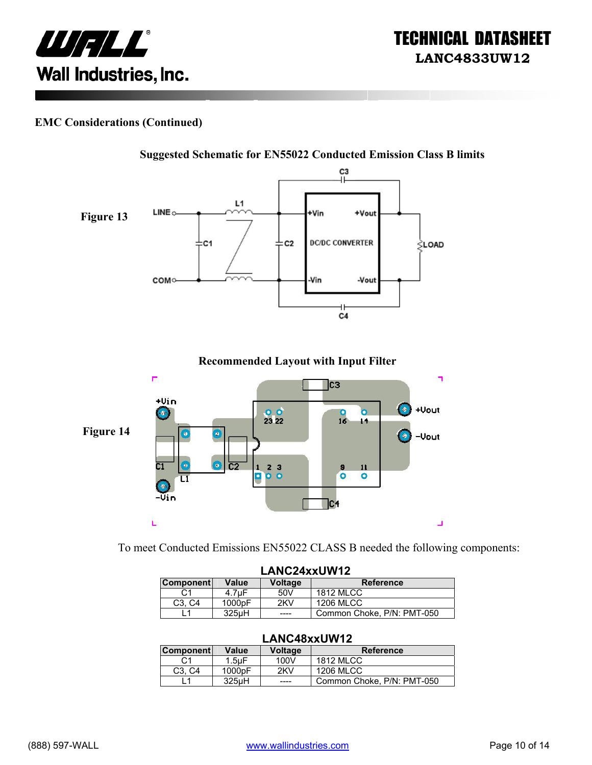



#### **EMC Considerations (Continued)**



**Recommended Layout with Input Filter** 



To meet Conducted Emissions EN55022 CLASS B needed the following components:

| LANC24xxUW12     |                     |                |                            |
|------------------|---------------------|----------------|----------------------------|
| <b>Component</b> | Value               | <b>Voltage</b> | <b>Reference</b>           |
| C1               | 4.7uF               | 50V            | <b>1812 MLCC</b>           |
| C3. C4           | 1000 <sub>p</sub> F | 2KV            | <b>1206 MLCC</b>           |
|                  | 325uH               | ----           | Common Choke, P/N: PMT-050 |

#### **LANC48xxUW12**

| <b>Component</b>                | Value              | Voltage | <b>Reference</b>           |
|---------------------------------|--------------------|---------|----------------------------|
| С1                              | $1.5$ u $F$        | 100V    | <b>1812 MLCC</b>           |
| C <sub>3</sub> . C <sub>4</sub> | 1000pF             | 2KV     | 1206 MLCC                  |
|                                 | 325 <sub>u</sub> H | ----    | Common Choke, P/N: PMT-050 |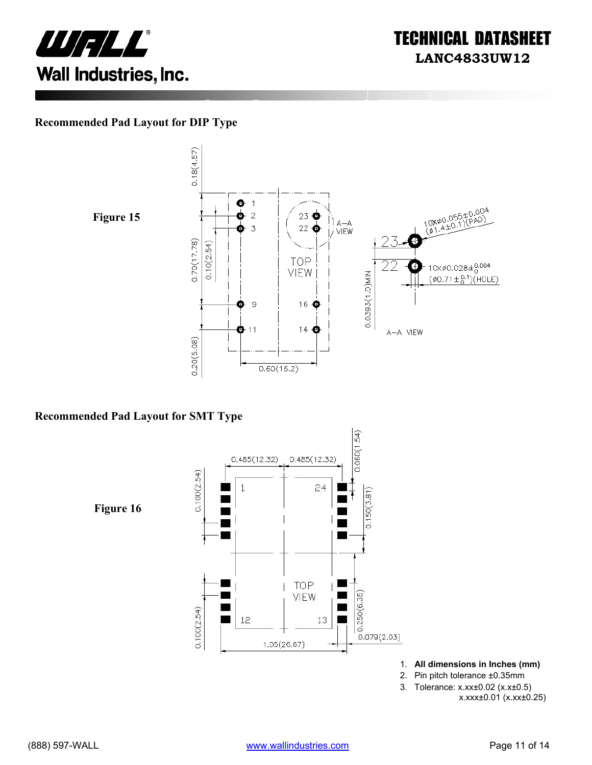



#### **Recommended Pad Layout for DIP Type**



 $0.18(4.57)$ o  $\vert$ 10X00.055±0.004<br>(01.4±0.1)(PAD)  $\bar{z}$  $23$   $\bullet$ | ) a—a<br>|*|* VIEW  $22\bigcirc$  $\overline{3}$  $0.70(17.78)$  $0.10(2.54)$ **TOP**  $10 \times \emptyset 0.028 \pm 0.004$ Ŧ VIEW 0.0393(1.0)MIN  $(\phi 0.71 \pm {}^{0.1}_{0})$ (HOLE)  $\mathbf 9$ 16 → æ  $14<sup>o</sup>$  $\mathbf{O}$ -11 A-A VIEW  $0.20(5.08)$  $0.60(15.2)$ 

#### **Recommended Pad Layout for SMT Type**

 $0.060(1.54)$  $0.485(12.32)$  $0.485(12.32)$  $0.100(2.54)$  $\overline{1}$  $24$  $0.150(3.81)$ **Figure 16** Ξ  $\blacksquare$ TOP Г VIEW  $0.250(6.35)$  $0.100(2.54)$ 12 13  $0.079(2.03)$  $1.05(26.67)$ 

1. **All dimensions in Inches (mm)** 

- 2. Pin pitch tolerance ±0.35mm
- 3. Tolerance: x.xx±0.02 (x.x±0.5) x.xxx±0.01 (x.xx±0.25)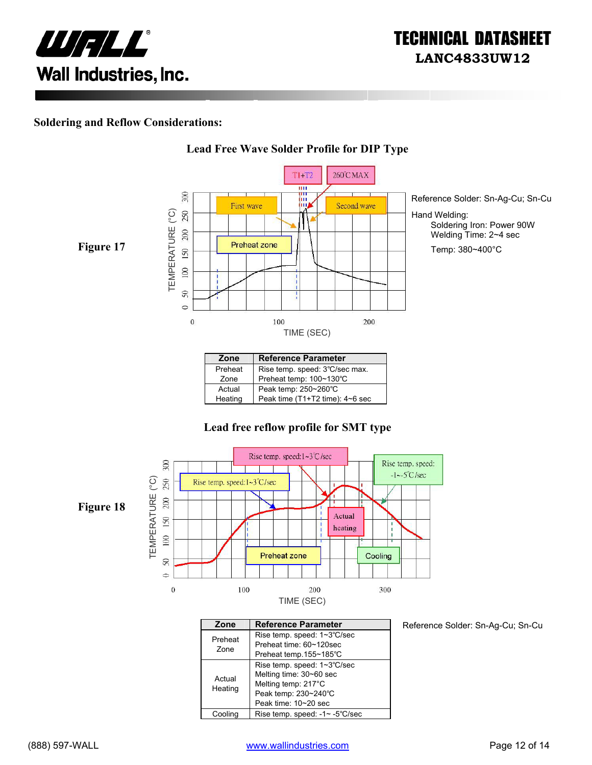

#### **Soldering and Reflow Considerations:**



**Lead Free Wave Solder Profile for DIP Type**

#### Preheat | Rise temp. speed: 3℃/sec max. Zone Preheat temp: 100~130℃ Actual Peak temp: 250~260°C<br>Heating Peak time (T1+T2 time) Peak time (T1+T2 time): 4~6 sec

#### **Lead free reflow profile for SMT type**



| Zone    | <b>Reference Parameter</b>     |
|---------|--------------------------------|
| Preheat | Rise temp. speed: 1~3°C/sec    |
| Zone    | Preheat time: 60~120sec        |
|         | Preheat temp.155~185°C         |
| Actual  | Rise temp. speed: 1~3°C/sec    |
|         | Melting time: 30~60 sec        |
|         | Melting temp: 217°C            |
| Heating | Peak temp: 230~240°C           |
|         | Peak time: 10~20 sec           |
| Coolina | Rise temp. speed: -1~ -5°C/sec |

Reference Solder: Sn-Ag-Cu; Sn-Cu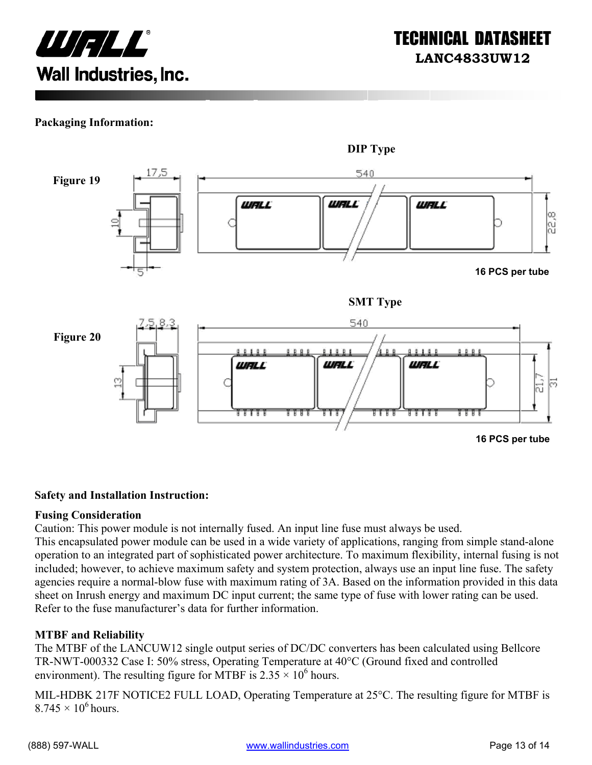

#### **Packaging Information:**



#### **Safety and Installation Instruction:**

#### **Fusing Consideration**

Caution: This power module is not internally fused. An input line fuse must always be used.

This encapsulated power module can be used in a wide variety of applications, ranging from simple stand-alone operation to an integrated part of sophisticated power architecture. To maximum flexibility, internal fusing is not included; however, to achieve maximum safety and system protection, always use an input line fuse. The safety agencies require a normal-blow fuse with maximum rating of 3A. Based on the information provided in this data sheet on Inrush energy and maximum DC input current; the same type of fuse with lower rating can be used. Refer to the fuse manufacturer's data for further information.

#### **MTBF and Reliability**

The MTBF of the LANCUW12 single output series of DC/DC converters has been calculated using Bellcore TR-NWT-000332 Case I: 50% stress, Operating Temperature at 40°C (Ground fixed and controlled environment). The resulting figure for MTBF is  $2.35 \times 10^6$  hours.

MIL-HDBK 217F NOTICE2 FULL LOAD, Operating Temperature at 25°C. The resulting figure for MTBF is  $8.745 \times 10^6$  hours.